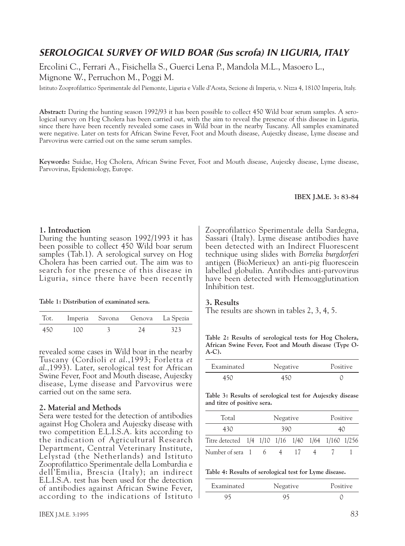# *SEROLOGICAL SURVEY OF WILD BOAR (Sus scrofa) IN LIGURIA, ITALY*

Ercolini C., Ferrari A., Fisichella S., Guerci Lena P., Mandola M.L., Masoero L., Mignone W., Perruchon M., Poggi M.

Istituto Zooprofilattico Sperimentale del Piemonte, Liguria e Valle d'Aosta, Sezione di Imperia, v. Nizza 4, 18100 Imperia, Italy.

**Abstract:** During the hunting season 1992/93 it has been possible to collect 450 Wild boar serum samples. A serological survey on Hog Cholera has been carried out, with the aim to reveal the presence of this disease in Liguria, since there have been recently revealed some cases in Wild boar in the nearby Tuscany. All samples examinated were negative. Later on tests for African Swine Fever, Foot and Mouth disease, Aujeszky disease, Lyme disease and Parvovirus were carried out on the same serum samples.

**Keywords:** Suidae, Hog Cholera, African Swine Fever, Foot and Mouth disease, Aujeszky disease, Lyme disease, Parvovirus, Epidemiology, Europe.

#### **IBEX J.M.E. 3: 83-84**

## **1. Introduction**

During the hunting season 1992/1993 it has been possible to collect 450 Wild boar serum samples (Tab.1). A serological survey on Hog Cholera has been carried out. The aim was to search for the presence of this disease in Liguria, since there have been recently

| Table 1: Distribution of examinated sera. |
|-------------------------------------------|
|-------------------------------------------|

| Tot. |     | Imperia Savona Genova La Spezia |     |
|------|-----|---------------------------------|-----|
| 450  | 100 | 24                              | 323 |

revealed some cases in Wild boar in the nearby Tuscany (Cordioli *et al*.,1993; Forletta *et al*.,1993). Later, serological test for African Swine Fever, Foot and Mouth disease, Aujeszky disease, Lyme disease and Parvovirus were carried out on the same sera.

## **2. Material and Methods**

Sera were tested for the detection of antibodies against Hog Cholera and Aujeszky disease with two competition E.L.I.S.A. kits according to the indication of Agricultural Research Department, Central Veterinary Institute, Lelystad (the Netherlands) and Istituto Zooprofilattico Sperimentale della Lombardia e dell'Emilia, Brescia (Italy); an indirect E.L.I.S.A. test has been used for the detection of antibodies against African Swine Fever, according to the indications of Istituto Zooprofilattico Sperimentale della Sardegna, Sassari (Italy). Lyme disease antibodies have been detected with an Indirect Fluorescent technique using slides with *Borrelia burgdorferi* antigen (BioMerieux) an anti-pig fluorescein labelled globulin. Antibodies anti-parvovirus have been detected with Hemoagglutination Inhibition test.

#### **3. Results**

The results are shown in tables 2, 3, 4, 5.

**Table 2: Results of serological tests for Hog Cholera, African Swine Fever, Foot and Mouth disease (Type O-A-C).**

| Examinated | Negative | Positive |
|------------|----------|----------|
|            |          |          |

**Table 3: Results of serological test for Aujeszky disease and titre of positive sera.**

| Total                                              | Negative |  |  |  | Positive |  |  |
|----------------------------------------------------|----------|--|--|--|----------|--|--|
| 430                                                | 390      |  |  |  | 40       |  |  |
| Titre detected 1/4 1/10 1/16 1/40 1/64 1/160 1/256 |          |  |  |  |          |  |  |
| Number of sera 1                                   |          |  |  |  |          |  |  |

**Table 4: Results of serological test for Lyme disease.**

| Examinated | Negative | Positive |  |  |
|------------|----------|----------|--|--|
|            |          |          |  |  |